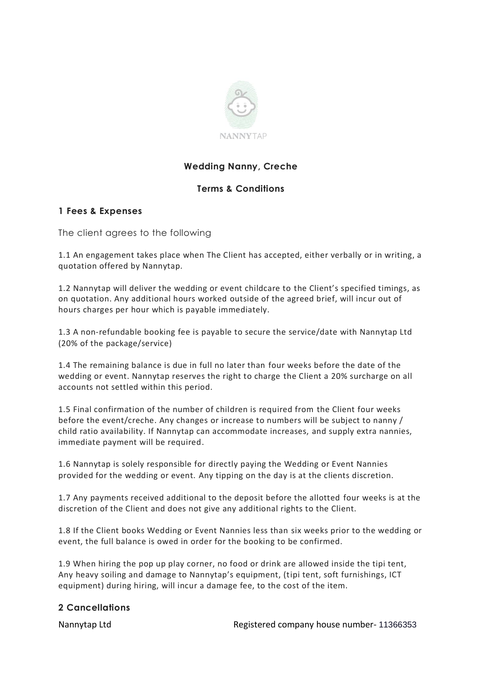

# **Wedding Nanny, Creche**

## **Terms & Conditions**

## **1 Fees & Expenses**

The client agrees to the following

1.1 An engagement takes place when The Client has accepted, either verbally or in writing, a quotation offered by Nannytap.

1.2 Nannytap will deliver the wedding or event childcare to the Client's specified timings, as on quotation. Any additional hours worked outside of the agreed brief, will incur out of hours charges per hour which is payable immediately.

1.3 A non-refundable booking fee is payable to secure the service/date with Nannytap Ltd (20% of the package/service)

1.4 The remaining balance is due in full no later than four weeks before the date of the wedding or event. Nannytap reserves the right to charge the Client a 20% surcharge on all accounts not settled within this period.

1.5 Final confirmation of the number of children is required from the Client four weeks before the event/creche. Any changes or increase to numbers will be subject to nanny / child ratio availability. If Nannytap can accommodate increases, and supply extra nannies, immediate payment will be required.

1.6 Nannytap is solely responsible for directly paying the Wedding or Event Nannies provided for the wedding or event. Any tipping on the day is at the clients discretion.

1.7 Any payments received additional to the deposit before the allotted four weeks is at the discretion of the Client and does not give any additional rights to the Client.

1.8 If the Client books Wedding or Event Nannies less than six weeks prior to the wedding or event, the full balance is owed in order for the booking to be confirmed.

1.9 When hiring the pop up play corner, no food or drink are allowed inside the tipi tent, Any heavy soiling and damage to Nannytap's equipment, (tipi tent, soft furnishings, ICT equipment) during hiring, will incur a damage fee, to the cost of the item.

#### **2 Cancellations**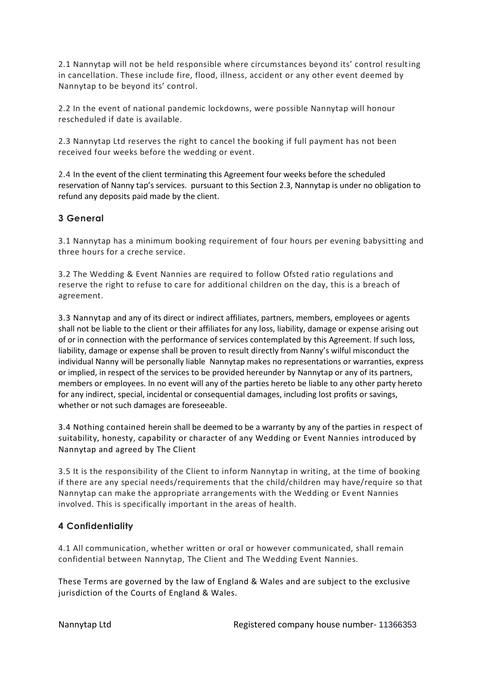2.1 Nannytap will not be held responsible where circumstances beyond its' control resulting in cancellation. These include fire, flood, illness, accident or any other event deemed by Nannytap to be beyond its' control.

2.2 In the event of national pandemic lockdowns, were possible Nannytap will honour rescheduled if date is available.

2.3 Nannytap Ltd reserves the right to cancel the booking if full payment has not been received four weeks before the wedding or event.

2.4 In the event of the client terminating this Agreement four weeks before the scheduled reservation of Nanny tap's services. pursuant to this Section 2.3, Nannytap is under no obligation to refund any deposits paid made by the client.

## **3 General**

3.1 Nannytap has a minimum booking requirement of four hours per evening babysitting and three hours for a creche service.

3.2 The Wedding & Event Nannies are required to follow Ofsted ratio regulations and reserve the right to refuse to care for additional children on the day, this is a breach of agreement.

3.3 Nannytap and any of its direct or indirect affiliates, partners, members, employees or agents shall not be liable to the client or their affiliates for any loss, liability, damage or expense arising out of or in connection with the performance of services contemplated by this Agreement. If such loss, liability, damage or expense shall be proven to result directly from Nanny's wilful misconduct the individual Nanny will be personally liable Nannytap makes no representations or warranties, express or implied, in respect of the services to be provided hereunder by Nannytap or any of its partners, members or employees. In no event will any of the parties hereto be liable to any other party hereto for any indirect, special, incidental or consequential damages, including lost profits or savings, whether or not such damages are foreseeable.

3.4 Nothing contained herein shall be deemed to be a warranty by any of the parties in respect of suitability, honesty, capability or character of any Wedding or Event Nannies introduced by Nannytap and agreed by The Client

3.5 It is the responsibility of the Client to inform Nannytap in writing, at the time of booking if there are any special needs/requirements that the child/children may have/require so that Nannytap can make the appropriate arrangements with the Wedding or Ev ent Nannies involved. This is specifically important in the areas of health.

## **4 Confidentiality**

4.1 All communication, whether written or oral or however communicated, shall remain confidential between Nannytap, The Client and The Wedding Event Nannies.

These Terms are governed by the law of England & Wales and are subject to the exclusive jurisdiction of the Courts of England & Wales.